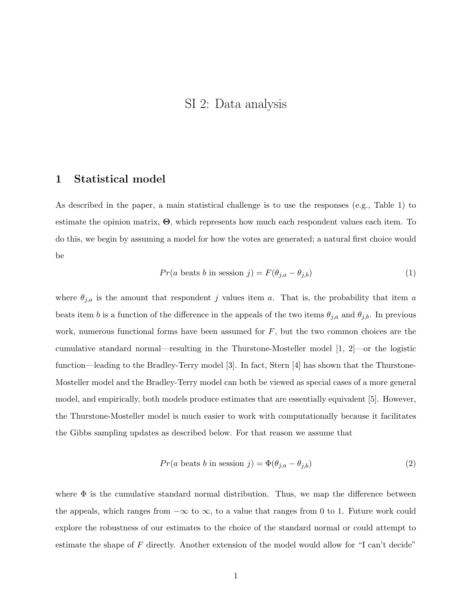## SI 2: Data analysis

### 1 Statistical model

As described in the paper, a main statistical challenge is to use the responses (e.g., Table 1) to estimate the opinion matrix, Θ, which represents how much each respondent values each item. To do this, we begin by assuming a model for how the votes are generated; a natural first choice would be

$$
Pr(a \text{ beats } b \text{ in session } j) = F(\theta_{j,a} - \theta_{j,b})
$$
\n
$$
(1)
$$

where  $\theta_{j,a}$  is the amount that respondent j values item a. That is, the probability that item a beats item b is a function of the difference in the appeals of the two items  $\theta_{j,a}$  and  $\theta_{j,b}$ . In previous work, numerous functional forms have been assumed for  $F$ , but the two common choices are the cumulative standard normal—resulting in the Thurstone-Mosteller model [1, 2]—or the logistic function—leading to the Bradley-Terry model [3]. In fact, Stern [4] has shown that the Thurstone-Mosteller model and the Bradley-Terry model can both be viewed as special cases of a more general model, and empirically, both models produce estimates that are essentially equivalent [5]. However, the Thurstone-Mosteller model is much easier to work with computationally because it facilitates the Gibbs sampling updates as described below. For that reason we assume that

$$
Pr(a \text{ beats } b \text{ in session } j) = \Phi(\theta_{j,a} - \theta_{j,b})
$$
\n
$$
(2)
$$

where  $\Phi$  is the cumulative standard normal distribution. Thus, we map the difference between the appeals, which ranges from  $-\infty$  to  $\infty$ , to a value that ranges from 0 to 1. Future work could explore the robustness of our estimates to the choice of the standard normal or could attempt to estimate the shape of F directly. Another extension of the model would allow for "I can't decide"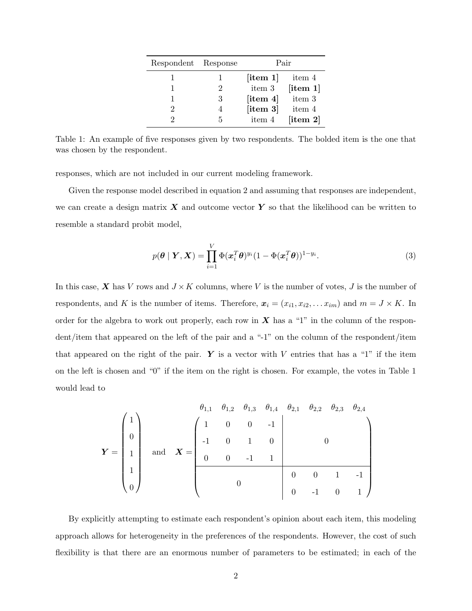| Respondent Response |               | Pair                                      |                                           |
|---------------------|---------------|-------------------------------------------|-------------------------------------------|
|                     |               | [item 1]                                  | item 4                                    |
|                     | $\mathcal{P}$ | item 3                                    | [item 1]                                  |
|                     | 3             | $\left\lceil \text{item } 4 \right\rceil$ | item 3                                    |
|                     |               | $\left\lceil \text{item } 3 \right\rceil$ | item 4                                    |
|                     | 5             | item 4                                    | $\left\lceil \text{item } 2 \right\rceil$ |

Table 1: An example of five responses given by two respondents. The bolded item is the one that was chosen by the respondent.

responses, which are not included in our current modeling framework.

Given the response model described in equation 2 and assuming that responses are independent, we can create a design matrix  $\boldsymbol{X}$  and outcome vector  $\boldsymbol{Y}$  so that the likelihood can be written to resemble a standard probit model,

$$
p(\boldsymbol{\theta} \mid \boldsymbol{Y}, \boldsymbol{X}) = \prod_{i=1}^{V} \Phi(\boldsymbol{x}_i^T \boldsymbol{\theta})^{y_i} (1 - \Phi(\boldsymbol{x}_i^T \boldsymbol{\theta}))^{1 - y_i}.
$$
 (3)

In this case,  $\boldsymbol{X}$  has V rows and  $J \times K$  columns, where V is the number of votes, J is the number of respondents, and K is the number of items. Therefore,  $\mathbf{x}_i = (x_{i1}, x_{i2}, \dots x_{im})$  and  $m = J \times K$ . In order for the algebra to work out properly, each row in  $X$  has a "1" in the column of the respondent/item that appeared on the left of the pair and a "-1" on the column of the respondent/item that appeared on the right of the pair.  $\boldsymbol{Y}$  is a vector with V entries that has a "1" if the item on the left is chosen and "0" if the item on the right is chosen. For example, the votes in Table 1 would lead to

$$
\boldsymbol{Y} = \begin{pmatrix} 1 \\ 0 \\ 1 \\ 1 \\ 0 \end{pmatrix} \quad \text{and} \quad \boldsymbol{X} = \begin{pmatrix} 1 & 0 & 0 & -1 \\ 1 & 0 & 1 & 0 \\ 0 & 0 & -1 & 1 \\ 0 & 0 & 1 & 0 \\ 0 & 0 & -1 & 1 \end{pmatrix} \quad \text{and} \quad \boldsymbol{X} = \begin{pmatrix} 1 & 0 & 0 & -1 \\ 0 & 0 & 0 & 1 \\ 0 & 0 & 0 & 1 \\ 0 & 0 & 0 & 1 \end{pmatrix}
$$

By explicitly attempting to estimate each respondent's opinion about each item, this modeling approach allows for heterogeneity in the preferences of the respondents. However, the cost of such flexibility is that there are an enormous number of parameters to be estimated; in each of the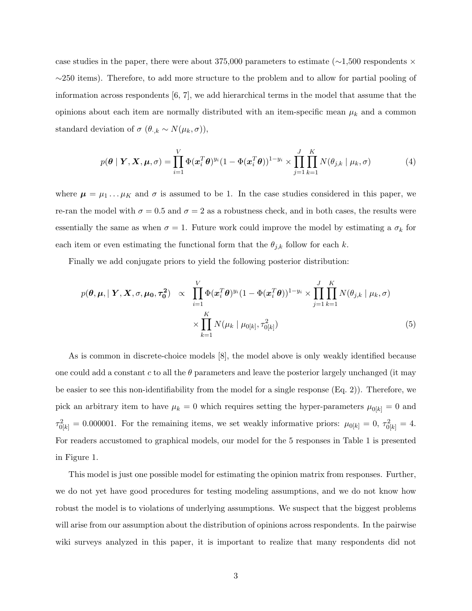case studies in the paper, there were about 375,000 parameters to estimate (∼1,500 respondents × ∼250 items). Therefore, to add more structure to the problem and to allow for partial pooling of information across respondents [6, 7], we add hierarchical terms in the model that assume that the opinions about each item are normally distributed with an item-specific mean  $\mu_k$  and a common standard deviation of  $\sigma$  ( $\theta_{\cdot,k} \sim N(\mu_k, \sigma)$ ),

$$
p(\boldsymbol{\theta} \mid \boldsymbol{Y}, \boldsymbol{X}, \boldsymbol{\mu}, \sigma) = \prod_{i=1}^{V} \Phi(\boldsymbol{x}_i^T \boldsymbol{\theta})^{y_i} (1 - \Phi(\boldsymbol{x}_i^T \boldsymbol{\theta}))^{1 - y_i} \times \prod_{j=1}^{J} \prod_{k=1}^{K} N(\theta_{j,k} \mid \mu_k, \sigma)
$$
(4)

where  $\mu = \mu_1 \dots \mu_K$  and  $\sigma$  is assumed to be 1. In the case studies considered in this paper, we re-ran the model with  $\sigma = 0.5$  and  $\sigma = 2$  as a robustness check, and in both cases, the results were essentially the same as when  $\sigma = 1$ . Future work could improve the model by estimating a  $\sigma_k$  for each item or even estimating the functional form that the  $\theta_{j,k}$  follow for each k.

Finally we add conjugate priors to yield the following posterior distribution:

$$
p(\boldsymbol{\theta}, \boldsymbol{\mu}, \mid \boldsymbol{Y}, \boldsymbol{X}, \sigma, \boldsymbol{\mu_0}, \tau_0^2) \propto \prod_{i=1}^V \Phi(\boldsymbol{x}_i^T \boldsymbol{\theta})^{y_i} (1 - \Phi(\boldsymbol{x}_i^T \boldsymbol{\theta}))^{1 - y_i} \times \prod_{j=1}^J \prod_{k=1}^K N(\theta_{j,k} \mid \mu_k, \sigma)
$$

$$
\times \prod_{k=1}^K N(\mu_k \mid \mu_{0[k]}, \tau_{0[k]}^2)
$$
(5)

As is common in discrete-choice models [8], the model above is only weakly identified because one could add a constant c to all the  $\theta$  parameters and leave the posterior largely unchanged (it may be easier to see this non-identifiability from the model for a single response (Eq. 2)). Therefore, we pick an arbitrary item to have  $\mu_k = 0$  which requires setting the hyper-parameters  $\mu_{0[k]} = 0$  and  $\tau_{0[k]}^2 = 0.000001$ . For the remaining items, we set weakly informative priors:  $\mu_{0[k]} = 0$ ,  $\tau_{0[k]}^2 = 4$ . For readers accustomed to graphical models, our model for the 5 responses in Table 1 is presented in Figure 1.

This model is just one possible model for estimating the opinion matrix from responses. Further, we do not yet have good procedures for testing modeling assumptions, and we do not know how robust the model is to violations of underlying assumptions. We suspect that the biggest problems will arise from our assumption about the distribution of opinions across respondents. In the pairwise wiki surveys analyzed in this paper, it is important to realize that many respondents did not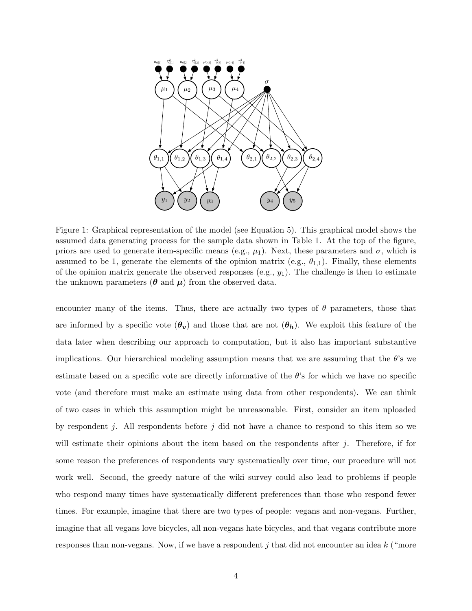

Figure 1: Graphical representation of the model (see Equation 5). This graphical model shows the assumed data generating process for the sample data shown in Table 1. At the top of the figure, priors are used to generate item-specific means (e.g.,  $\mu_1$ ). Next, these parameters and  $\sigma$ , which is assumed to be 1, generate the elements of the opinion matrix (e.g.,  $\theta_{1,1}$ ). Finally, these elements of the opinion matrix generate the observed responses (e.g.,  $y_1$ ). The challenge is then to estimate the unknown parameters ( $\theta$  and  $\mu$ ) from the observed data.

encounter many of the items. Thus, there are actually two types of  $\theta$  parameters, those that are informed by a specific vote  $(\theta_v)$  and those that are not  $(\theta_h)$ . We exploit this feature of the data later when describing our approach to computation, but it also has important substantive implications. Our hierarchical modeling assumption means that we are assuming that the  $\theta$ 's we estimate based on a specific vote are directly informative of the  $\theta$ 's for which we have no specific vote (and therefore must make an estimate using data from other respondents). We can think of two cases in which this assumption might be unreasonable. First, consider an item uploaded by respondent j. All respondents before j did not have a chance to respond to this item so we will estimate their opinions about the item based on the respondents after  $j$ . Therefore, if for some reason the preferences of respondents vary systematically over time, our procedure will not work well. Second, the greedy nature of the wiki survey could also lead to problems if people who respond many times have systematically different preferences than those who respond fewer times. For example, imagine that there are two types of people: vegans and non-vegans. Further, imagine that all vegans love bicycles, all non-vegans hate bicycles, and that vegans contribute more responses than non-vegans. Now, if we have a respondent j that did not encounter an idea  $k$  ("more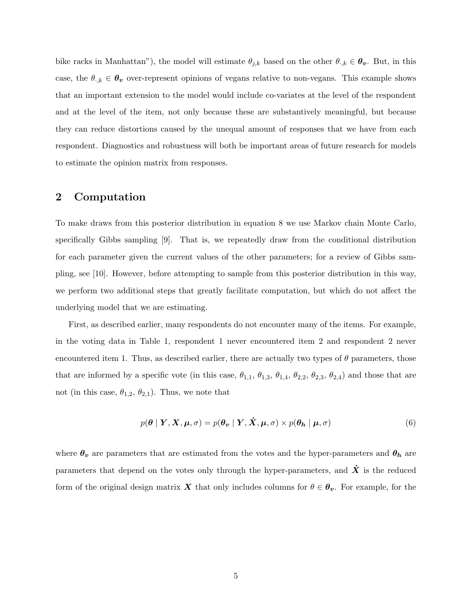bike racks in Manhattan"), the model will estimate  $\theta_{j,k}$  based on the other  $\theta_{j,k} \in \theta_{v}$ . But, in this case, the  $\theta_{\cdot,k} \in \theta_v$  over-represent opinions of vegans relative to non-vegans. This example shows that an important extension to the model would include co-variates at the level of the respondent and at the level of the item, not only because these are substantively meaningful, but because they can reduce distortions caused by the unequal amount of responses that we have from each respondent. Diagnostics and robustness will both be important areas of future research for models to estimate the opinion matrix from responses.

## 2 Computation

To make draws from this posterior distribution in equation 8 we use Markov chain Monte Carlo, specifically Gibbs sampling [9]. That is, we repeatedly draw from the conditional distribution for each parameter given the current values of the other parameters; for a review of Gibbs sampling, see [10]. However, before attempting to sample from this posterior distribution in this way, we perform two additional steps that greatly facilitate computation, but which do not affect the underlying model that we are estimating.

First, as described earlier, many respondents do not encounter many of the items. For example, in the voting data in Table 1, respondent 1 never encountered item 2 and respondent 2 never encountered item 1. Thus, as described earlier, there are actually two types of  $\theta$  parameters, those that are informed by a specific vote (in this case,  $\theta_{1,1}$ ,  $\theta_{1,3}$ ,  $\theta_{1,4}$ ,  $\theta_{2,2}$ ,  $\theta_{2,3}$ ,  $\theta_{2,4}$ ) and those that are not (in this case,  $\theta_{1,2}, \theta_{2,1}$ ). Thus, we note that

$$
p(\boldsymbol{\theta} \mid \boldsymbol{Y}, \boldsymbol{X}, \boldsymbol{\mu}, \sigma) = p(\boldsymbol{\theta_v} \mid \boldsymbol{Y}, \dot{\boldsymbol{X}}, \boldsymbol{\mu}, \sigma) \times p(\boldsymbol{\theta_h} \mid \boldsymbol{\mu}, \sigma)
$$
(6)

where  $\theta_v$  are parameters that are estimated from the votes and the hyper-parameters and  $\theta_h$  are parameters that depend on the votes only through the hyper-parameters, and  $\dot{X}$  is the reduced form of the original design matrix X that only includes columns for  $\theta \in \theta_v$ . For example, for the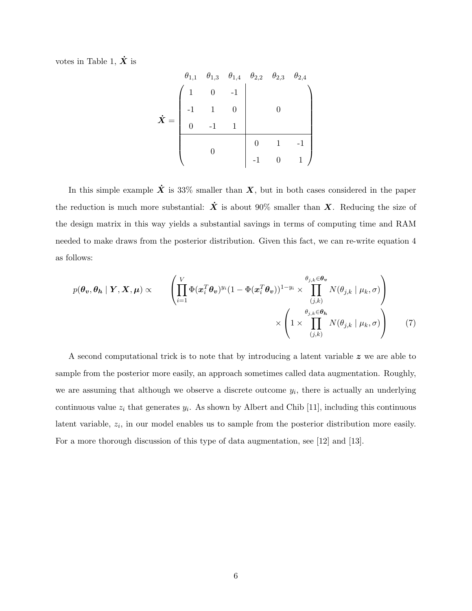votes in Table 1,  $\dot{X}$  is

X˙ = θ1,<sup>1</sup> θ1,<sup>3</sup> θ1,<sup>4</sup> θ2,<sup>2</sup> θ2,<sup>3</sup> θ2,<sup>4</sup> 1 0 -1 0-1 1 0 0 -1 1 0 0 1 -1 -1 0 1

In this simple example  $\dot{X}$  is 33% smaller than  $X$ , but in both cases considered in the paper the reduction is much more substantial:  $\dot{X}$  is about 90% smaller than X. Reducing the size of the design matrix in this way yields a substantial savings in terms of computing time and RAM needed to make draws from the posterior distribution. Given this fact, we can re-write equation 4 as follows:

$$
p(\theta_v, \theta_h | \mathbf{Y}, \mathbf{X}, \boldsymbol{\mu}) \propto \begin{pmatrix} V \\ \prod_{i=1}^V \Phi(x_i^T \theta_v)^{y_i} (1 - \Phi(x_i^T \theta_v))^{1 - y_i} \times \prod_{(j,k)}^{\theta_{j,k} \in \theta_v} N(\theta_{j,k} | \mu_k, \sigma) \\ \times \left(1 \times \prod_{(j,k)}^{\theta_{j,k} \in \theta_h} N(\theta_{j,k} | \mu_k, \sigma) \right) \end{pmatrix}
$$
(7)

A second computational trick is to note that by introducing a latent variable z we are able to sample from the posterior more easily, an approach sometimes called data augmentation. Roughly, we are assuming that although we observe a discrete outcome  $y_i$ , there is actually an underlying continuous value  $z_i$  that generates  $y_i$ . As shown by Albert and Chib [11], including this continuous latent variable,  $z_i$ , in our model enables us to sample from the posterior distribution more easily. For a more thorough discussion of this type of data augmentation, see [12] and [13].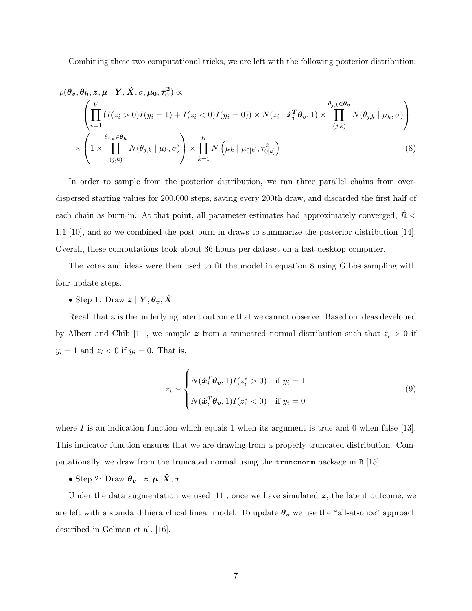Combining these two computational tricks, we are left with the following posterior distribution:

$$
p(\theta_v, \theta_h, z, \mu \mid Y, \dot{X}, \sigma, \mu_0, \tau_0^2) \propto
$$
\n
$$
\left( \prod_{v=1}^V (I(z_i > 0)I(y_i = 1) + I(z_i < 0)I(y_i = 0)) \times N(z_i \mid \dot{x}_i^T \theta_v, 1) \times \prod_{(j,k)}^{\theta_{j,k} \in \theta_v} N(\theta_{j,k} \mid \mu_k, \sigma) \right)
$$
\n
$$
\times \left( 1 \times \prod_{(j,k)}^{\theta_{j,k} \in \theta_h} N(\theta_{j,k} \mid \mu_k, \sigma) \right) \times \prod_{k=1}^K N(\mu_k \mid \mu_0[\mu], \tau_{0[k]}^2)
$$
\n(8)

In order to sample from the posterior distribution, we ran three parallel chains from overdispersed starting values for 200,000 steps, saving every 200th draw, and discarded the first half of each chain as burn-in. At that point, all parameter estimates had approximately converged,  $R <$ 1.1 [10], and so we combined the post burn-in draws to summarize the posterior distribution [14]. Overall, these computations took about 36 hours per dataset on a fast desktop computer.

The votes and ideas were then used to fit the model in equation 8 using Gibbs sampling with four update steps.

# • Step 1: Draw $\boldsymbol{z} \mid \boldsymbol{Y}, \boldsymbol{\theta_v}, \boldsymbol{\dot{X}}$

Recall that z is the underlying latent outcome that we cannot observe. Based on ideas developed by Albert and Chib [11], we sample z from a truncated normal distribution such that  $z_i > 0$  if  $y_i = 1$  and  $z_i < 0$  if  $y_i = 0$ . That is,

$$
z_i \sim \begin{cases} N(\dot{\boldsymbol{x}}_i^T \boldsymbol{\theta_v}, 1) I(z_i^* > 0) & \text{if } y_i = 1 \\ N(\dot{\boldsymbol{x}}_i^T \boldsymbol{\theta_v}, 1) I(z_i^* < 0) & \text{if } y_i = 0 \end{cases}
$$
\n
$$
(9)
$$

where  $I$  is an indication function which equals 1 when its argument is true and 0 when false [13]. This indicator function ensures that we are drawing from a properly truncated distribution. Computationally, we draw from the truncated normal using the truncnorm package in R [15].

• Step 2: Draw  $\boldsymbol{\theta_v} \mid \boldsymbol{z}, \boldsymbol{\mu}, \boldsymbol{\dot{X}}, \sigma$ 

Under the data augmentation we used  $[11]$ , once we have simulated  $z$ , the latent outcome, we are left with a standard hierarchical linear model. To update  $\theta_v$  we use the "all-at-once" approach described in Gelman et al. [16].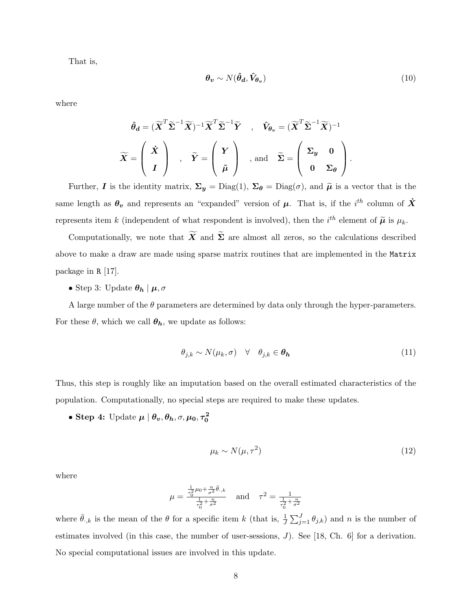That is,

$$
\boldsymbol{\theta_v} \sim N(\hat{\boldsymbol{\theta}_d}, \hat{V}_{\boldsymbol{\theta_v}}) \tag{10}
$$

where

$$
\hat{\theta}_d = (\widetilde{\boldsymbol{X}}^T \widetilde{\boldsymbol{\Sigma}}^{-1} \widetilde{\boldsymbol{X}})^{-1} \widetilde{\boldsymbol{X}}^T \widetilde{\boldsymbol{\Sigma}}^{-1} \widetilde{\boldsymbol{Y}} , \quad \hat{V}_{\theta_v} = (\widetilde{\boldsymbol{X}}^T \widetilde{\boldsymbol{\Sigma}}^{-1} \widetilde{\boldsymbol{X}})^{-1}
$$

$$
\widetilde{\boldsymbol{X}} = \left(\begin{array}{c} \dot{\boldsymbol{X}} \\ I \end{array}\right) , \quad \widetilde{\boldsymbol{Y}} = \left(\begin{array}{c} \boldsymbol{Y} \\ \tilde{\boldsymbol{\mu}} \end{array}\right) , \text{ and } \widetilde{\boldsymbol{\Sigma}} = \left(\begin{array}{cc} \boldsymbol{\Sigma}_y & 0 \\ 0 & \boldsymbol{\Sigma}_{\theta} \end{array}\right) .
$$

Further, I is the identity matrix,  $\Sigma_y = \text{Diag}(1)$ ,  $\Sigma_\theta = \text{Diag}(\sigma)$ , and  $\tilde{\mu}$  is a vector that is the same length as  $\theta_v$  and represents an "expanded" version of  $\mu$ . That is, if the  $i^{th}$  column of  $\dot{X}$ represents item k (independent of what respondent is involved), then the  $i^{th}$  element of  $\tilde{\mu}$  is  $\mu_k$ .

Computationally, we note that  $\widetilde{X}$  and  $\widetilde{\Sigma}$  are almost all zeros, so the calculations described above to make a draw are made using sparse matrix routines that are implemented in the Matrix package in R [17].

#### • Step 3: Update  $\theta_h | \mu, \sigma$

A large number of the  $\theta$  parameters are determined by data only through the hyper-parameters. For these  $\theta$ , which we call  $\theta_h$ , we update as follows:

$$
\theta_{j,k} \sim N(\mu_k, \sigma) \quad \forall \quad \theta_{j,k} \in \boldsymbol{\theta_h} \tag{11}
$$

Thus, this step is roughly like an imputation based on the overall estimated characteristics of the population. Computationally, no special steps are required to make these updates.

• Step 4: Update  $\mu \mid \theta_v, \theta_h, \sigma, \mu_0, \tau_0^2$ 

$$
\mu_k \sim N(\mu, \tau^2) \tag{12}
$$

where

$$
\mu = \frac{\frac{1}{\tau_0^2} \mu_0 + \frac{n}{\sigma^2} \bar{\theta}_{.,k}}{\frac{1}{\tau_0^2} + \frac{n}{\sigma^2}} \quad \text{and} \quad \tau^2 = \frac{1}{\frac{1}{\tau_0^2} + \frac{n}{\sigma^2}}
$$

where  $\bar{\theta}_{k,k}$  is the mean of the  $\theta$  for a specific item k (that is,  $\frac{1}{J}\sum_{j=1}^{J}\theta_{j,k}$ ) and n is the number of estimates involved (in this case, the number of user-sessions, J). See [18, Ch. 6] for a derivation. No special computational issues are involved in this update.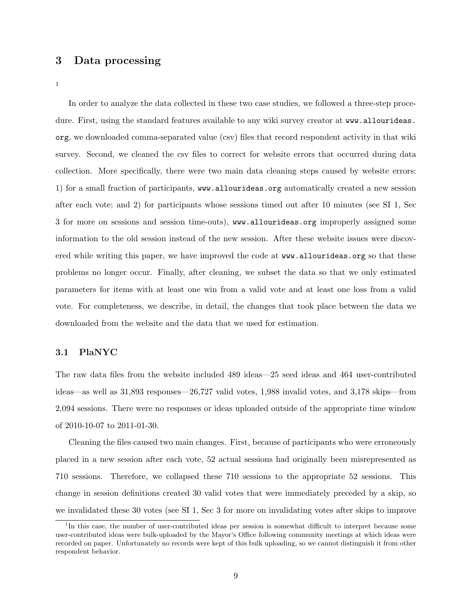## 3 Data processing

1

In order to analyze the data collected in these two case studies, we followed a three-step procedure. First, using the standard features available to any wiki survey creator at www.allourideas. org, we downloaded comma-separated value (csv) files that record respondent activity in that wiki survey. Second, we cleaned the csv files to correct for website errors that occurred during data collection. More specifically, there were two main data cleaning steps caused by website errors: 1) for a small fraction of participants, www.allourideas.org automatically created a new session after each vote; and 2) for participants whose sessions timed out after 10 minutes (see SI 1, Sec 3 for more on sessions and session time-outs), www.allourideas.org improperly assigned some information to the old session instead of the new session. After these website issues were discovered while writing this paper, we have improved the code at www.allourideas.org so that these problems no longer occur. Finally, after cleaning, we subset the data so that we only estimated parameters for items with at least one win from a valid vote and at least one loss from a valid vote. For completeness, we describe, in detail, the changes that took place between the data we downloaded from the website and the data that we used for estimation.

#### 3.1 PlaNYC

The raw data files from the website included 489 ideas—25 seed ideas and 464 user-contributed ideas—as well as 31,893 responses—26,727 valid votes, 1,988 invalid votes, and 3,178 skips—from 2,094 sessions. There were no responses or ideas uploaded outside of the appropriate time window of 2010-10-07 to 2011-01-30.

Cleaning the files caused two main changes. First, because of participants who were erroneously placed in a new session after each vote, 52 actual sessions had originally been misrepresented as 710 sessions. Therefore, we collapsed these 710 sessions to the appropriate 52 sessions. This change in session definitions created 30 valid votes that were immediately preceded by a skip, so we invalidated these 30 votes (see SI 1, Sec 3 for more on invalidating votes after skips to improve

<sup>&</sup>lt;sup>1</sup>In this case, the number of user-contributed ideas per session is somewhat difficult to interpret because some user-contributed ideas were bulk-uploaded by the Mayor's Office following community meetings at which ideas were recorded on paper. Unfortunately no records were kept of this bulk uploading, so we cannot distinguish it from other respondent behavior.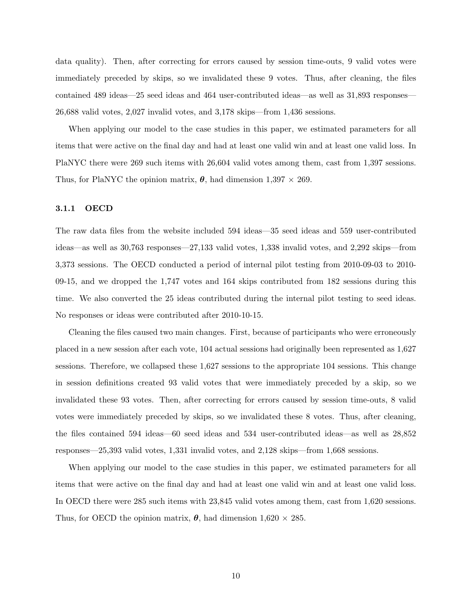data quality). Then, after correcting for errors caused by session time-outs, 9 valid votes were immediately preceded by skips, so we invalidated these 9 votes. Thus, after cleaning, the files contained 489 ideas—25 seed ideas and 464 user-contributed ideas—as well as 31,893 responses— 26,688 valid votes, 2,027 invalid votes, and 3,178 skips—from 1,436 sessions.

When applying our model to the case studies in this paper, we estimated parameters for all items that were active on the final day and had at least one valid win and at least one valid loss. In PlaNYC there were 269 such items with 26,604 valid votes among them, cast from 1,397 sessions. Thus, for PlaNYC the opinion matrix,  $\theta$ , had dimension  $1,397 \times 269$ .

#### 3.1.1 OECD

The raw data files from the website included 594 ideas—35 seed ideas and 559 user-contributed ideas—as well as 30,763 responses—27,133 valid votes, 1,338 invalid votes, and 2,292 skips—from 3,373 sessions. The OECD conducted a period of internal pilot testing from 2010-09-03 to 2010- 09-15, and we dropped the 1,747 votes and 164 skips contributed from 182 sessions during this time. We also converted the 25 ideas contributed during the internal pilot testing to seed ideas. No responses or ideas were contributed after 2010-10-15.

Cleaning the files caused two main changes. First, because of participants who were erroneously placed in a new session after each vote, 104 actual sessions had originally been represented as 1,627 sessions. Therefore, we collapsed these 1,627 sessions to the appropriate 104 sessions. This change in session definitions created 93 valid votes that were immediately preceded by a skip, so we invalidated these 93 votes. Then, after correcting for errors caused by session time-outs, 8 valid votes were immediately preceded by skips, so we invalidated these 8 votes. Thus, after cleaning, the files contained 594 ideas—60 seed ideas and 534 user-contributed ideas—as well as 28,852 responses—25,393 valid votes, 1,331 invalid votes, and 2,128 skips—from 1,668 sessions.

When applying our model to the case studies in this paper, we estimated parameters for all items that were active on the final day and had at least one valid win and at least one valid loss. In OECD there were 285 such items with 23,845 valid votes among them, cast from 1,620 sessions. Thus, for OECD the opinion matrix,  $\theta$ , had dimension 1,620  $\times$  285.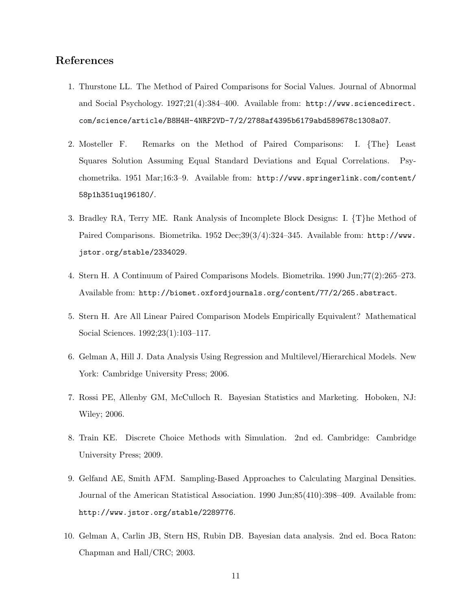## References

- 1. Thurstone LL. The Method of Paired Comparisons for Social Values. Journal of Abnormal and Social Psychology. 1927;21(4):384–400. Available from: http://www.sciencedirect. com/science/article/B8H4H-4NRF2VD-7/2/2788af4395b6179abd589678c1308a07.
- 2. Mosteller F. Remarks on the Method of Paired Comparisons: I. {The} Least Squares Solution Assuming Equal Standard Deviations and Equal Correlations. Psychometrika. 1951 Mar;16:3–9. Available from: http://www.springerlink.com/content/ 58p1h351uq196180/.
- 3. Bradley RA, Terry ME. Rank Analysis of Incomplete Block Designs: I. {T}he Method of Paired Comparisons. Biometrika. 1952 Dec;39(3/4):324-345. Available from: http://www. jstor.org/stable/2334029.
- 4. Stern H. A Continuum of Paired Comparisons Models. Biometrika. 1990 Jun;77(2):265–273. Available from: http://biomet.oxfordjournals.org/content/77/2/265.abstract.
- 5. Stern H. Are All Linear Paired Comparison Models Empirically Equivalent? Mathematical Social Sciences. 1992;23(1):103–117.
- 6. Gelman A, Hill J. Data Analysis Using Regression and Multilevel/Hierarchical Models. New York: Cambridge University Press; 2006.
- 7. Rossi PE, Allenby GM, McCulloch R. Bayesian Statistics and Marketing. Hoboken, NJ: Wiley; 2006.
- 8. Train KE. Discrete Choice Methods with Simulation. 2nd ed. Cambridge: Cambridge University Press; 2009.
- 9. Gelfand AE, Smith AFM. Sampling-Based Approaches to Calculating Marginal Densities. Journal of the American Statistical Association. 1990 Jun;85(410):398–409. Available from: http://www.jstor.org/stable/2289776.
- 10. Gelman A, Carlin JB, Stern HS, Rubin DB. Bayesian data analysis. 2nd ed. Boca Raton: Chapman and Hall/CRC; 2003.